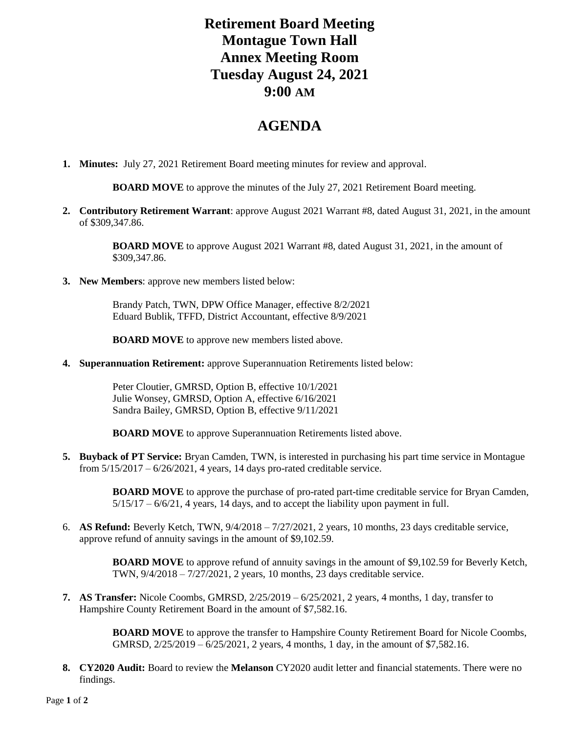## **Retirement Board Meeting Montague Town Hall Annex Meeting Room Tuesday August 24, 2021 9:00 AM**

## **AGENDA**

**1. Minutes:** July 27, 2021 Retirement Board meeting minutes for review and approval.

**BOARD MOVE** to approve the minutes of the July 27, 2021 Retirement Board meeting.

**2. Contributory Retirement Warrant**: approve August 2021 Warrant #8, dated August 31, 2021, in the amount of \$309,347.86.

> **BOARD MOVE** to approve August 2021 Warrant #8, dated August 31, 2021, in the amount of \$309,347.86.

**3. New Members**: approve new members listed below:

Brandy Patch, TWN, DPW Office Manager, effective 8/2/2021 Eduard Bublik, TFFD, District Accountant, effective 8/9/2021

**BOARD MOVE** to approve new members listed above.

**4. Superannuation Retirement:** approve Superannuation Retirements listed below:

Peter Cloutier, GMRSD, Option B, effective 10/1/2021 Julie Wonsey, GMRSD, Option A, effective 6/16/2021 Sandra Bailey, GMRSD, Option B, effective 9/11/2021

**BOARD MOVE** to approve Superannuation Retirements listed above.

**5. Buyback of PT Service:** Bryan Camden, TWN, is interested in purchasing his part time service in Montague from 5/15/2017 – 6/26/2021, 4 years, 14 days pro-rated creditable service.

> **BOARD MOVE** to approve the purchase of pro-rated part-time creditable service for Bryan Camden, 5/15/17 – 6/6/21, 4 years, 14 days, and to accept the liability upon payment in full.

6. **AS Refund:** Beverly Ketch, TWN, 9/4/2018 – 7/27/2021, 2 years, 10 months, 23 days creditable service, approve refund of annuity savings in the amount of \$9,102.59.

> **BOARD MOVE** to approve refund of annuity savings in the amount of \$9,102.59 for Beverly Ketch, TWN, 9/4/2018 – 7/27/2021, 2 years, 10 months, 23 days creditable service.

**7. AS Transfer:** Nicole Coombs, GMRSD, 2/25/2019 – 6/25/2021, 2 years, 4 months, 1 day, transfer to Hampshire County Retirement Board in the amount of \$7,582.16.

> **BOARD MOVE** to approve the transfer to Hampshire County Retirement Board for Nicole Coombs, GMRSD, 2/25/2019 – 6/25/2021, 2 years, 4 months, 1 day, in the amount of \$7,582.16.

**8. CY2020 Audit:** Board to review the **Melanson** CY2020 audit letter and financial statements. There were no findings.